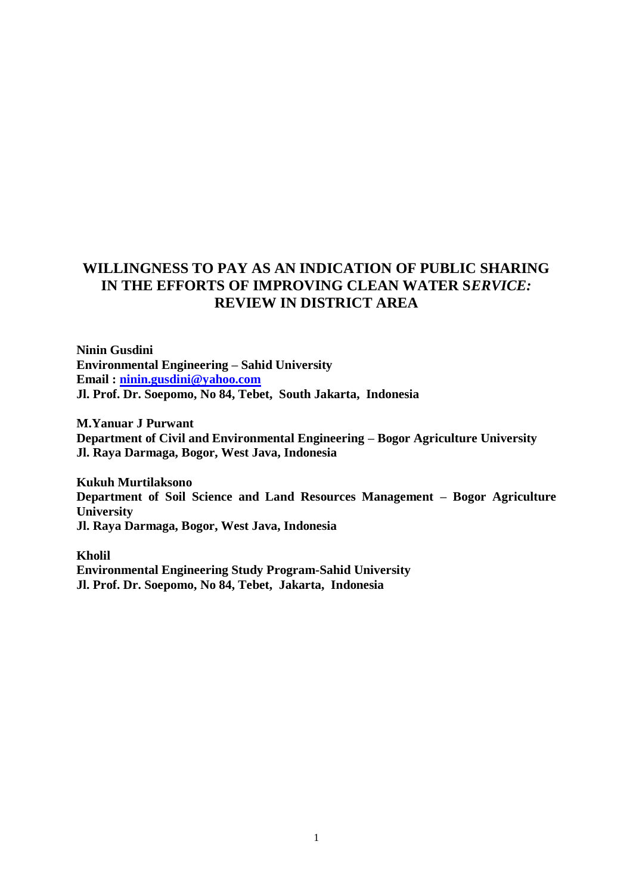# **WILLINGNESS TO PAY AS AN INDICATION OF PUBLIC SHARING IN THE EFFORTS OF IMPROVING CLEAN WATER S***ERVICE:*  **REVIEW IN DISTRICT AREA**

**Ninin Gusdini Environmental Engineering – Sahid University Email : [ninin.gusdini@yahoo.com](mailto:ninin.gusdini@yahoo.com) Jl. Prof. Dr. Soepomo, No 84, Tebet, South Jakarta, Indonesia**

**M.Yanuar J Purwant Department of Civil and Environmental Engineering – Bogor Agriculture University Jl. Raya Darmaga, Bogor, West Java, Indonesia**

**Kukuh Murtilaksono Department of Soil Science and Land Resources Management – Bogor Agriculture University Jl. Raya Darmaga, Bogor, West Java, Indonesia**

**Kholil Environmental Engineering Study Program-Sahid University Jl. Prof. Dr. Soepomo, No 84, Tebet, Jakarta, Indonesia**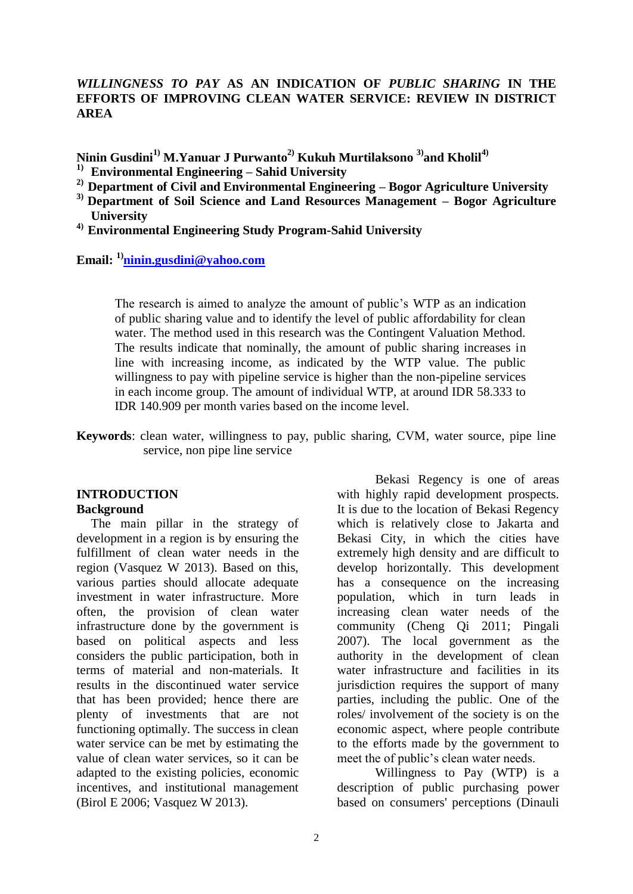#### *WILLINGNESS TO PAY* **AS AN INDICATION OF** *PUBLIC SHARING* **IN THE EFFORTS OF IMPROVING CLEAN WATER SERVICE: REVIEW IN DISTRICT AREA**

**Ninin Gusdini1) M.Yanuar J Purwanto2) Kukuh Murtilaksono 3) and Kholil4)**

- **1) Environmental Engineering – Sahid University**
- **2) Department of Civil and Environmental Engineering – Bogor Agriculture University**
- **3) Department of Soil Science and Land Resources Management – Bogor Agriculture University**

**4) Environmental Engineering Study Program-Sahid University**

**Email: 1)[ninin.gusdini@yahoo.com](mailto:ninin.gusdini@yahoo.com)**

The research is aimed to analyze the amount of public's WTP as an indication of public sharing value and to identify the level of public affordability for clean water. The method used in this research was the Contingent Valuation Method. The results indicate that nominally, the amount of public sharing increases in line with increasing income, as indicated by the WTP value. The public willingness to pay with pipeline service is higher than the non-pipeline services in each income group. The amount of individual WTP, at around IDR 58.333 to IDR 140.909 per month varies based on the income level.

**Keywords**: clean water, willingness to pay, public sharing, CVM, water source, pipe line service, non pipe line service

#### **INTRODUCTION Background**

The main pillar in the strategy of development in a region is by ensuring the fulfillment of clean water needs in the region (Vasquez W 2013). Based on this, various parties should allocate adequate investment in water infrastructure. More often, the provision of clean water infrastructure done by the government is based on political aspects and less considers the public participation, both in terms of material and non-materials. It results in the discontinued water service that has been provided; hence there are plenty of investments that are not functioning optimally. The success in clean water service can be met by estimating the value of clean water services, so it can be adapted to the existing policies, economic incentives, and institutional management (Birol E 2006; Vasquez W 2013).

Bekasi Regency is one of areas with highly rapid development prospects. It is due to the location of Bekasi Regency which is relatively close to Jakarta and Bekasi City, in which the cities have extremely high density and are difficult to develop horizontally. This development has a consequence on the increasing population, which in turn leads in increasing clean water needs of the community (Cheng Qi 2011; Pingali 2007). The local government as the authority in the development of clean water infrastructure and facilities in its jurisdiction requires the support of many parties, including the public. One of the roles/ involvement of the society is on the economic aspect, where people contribute to the efforts made by the government to meet the of public's clean water needs.

Willingness to Pay (WTP) is a description of public purchasing power based on consumers' perceptions (Dinauli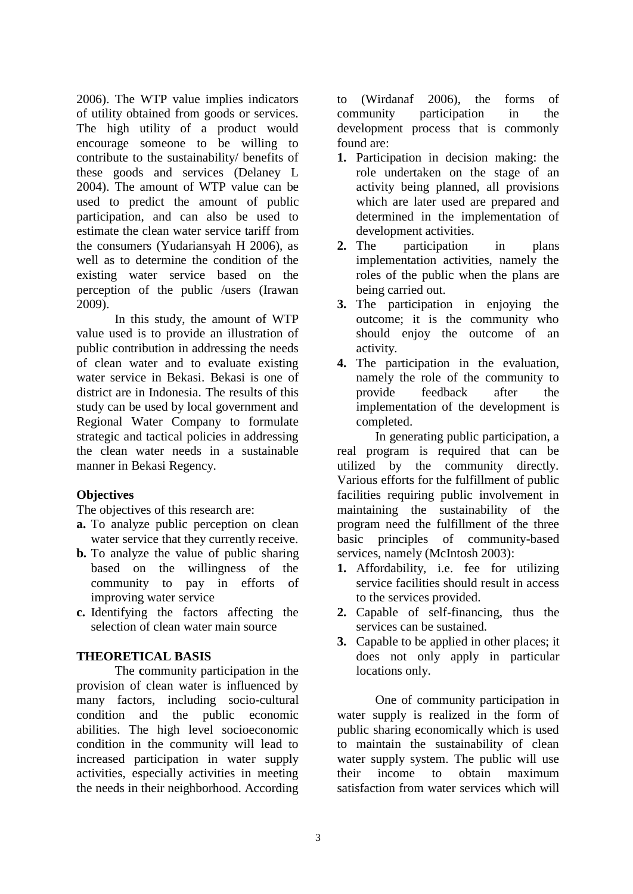2006). The WTP value implies indicators of utility obtained from goods or services. The high utility of a product would encourage someone to be willing to contribute to the sustainability/ benefits of these goods and services (Delaney L 2004). The amount of WTP value can be used to predict the amount of public participation, and can also be used to estimate the clean water service tariff from the consumers (Yudariansyah H 2006), as well as to determine the condition of the existing water service based on the perception of the public /users (Irawan 2009).

In this study, the amount of WTP value used is to provide an illustration of public contribution in addressing the needs of clean water and to evaluate existing water service in Bekasi. Bekasi is one of district are in Indonesia. The results of this study can be used by local government and Regional Water Company to formulate strategic and tactical policies in addressing the clean water needs in a sustainable manner in Bekasi Regency.

### **Objectives**

The objectives of this research are:

- **a.** To analyze public perception on clean water service that they currently receive.
- **b.** To analyze the value of public sharing based on the willingness of the community to pay in efforts of improving water service
- **c.** Identifying the factors affecting the selection of clean water main source

### **THEORETICAL BASIS**

The **c**ommunity participation in the provision of clean water is influenced by many factors, including socio-cultural condition and the public economic abilities. The high level socioeconomic condition in the community will lead to increased participation in water supply activities, especially activities in meeting the needs in their neighborhood. According

to (Wirdanaf 2006), the forms of community participation in the development process that is commonly found are:

- **1.** Participation in decision making: the role undertaken on the stage of an activity being planned, all provisions which are later used are prepared and determined in the implementation of
- development activities.<br>2. The participation participation in plans implementation activities, namely the roles of the public when the plans are being carried out.
- **3.** The participation in enjoying the outcome; it is the community who should enjoy the outcome of an activity.
- **4.** The participation in the evaluation, namely the role of the community to provide feedback after the implementation of the development is completed.

In generating public participation, a real program is required that can be utilized by the community directly. Various efforts for the fulfillment of public facilities requiring public involvement in maintaining the sustainability of the program need the fulfillment of the three basic principles of community-based services, namely (McIntosh 2003):

- **1.** Affordability, i.e. fee for utilizing service facilities should result in access to the services provided.
- **2.** Capable of self-financing, thus the services can be sustained.
- **3.** Capable to be applied in other places; it does not only apply in particular locations only.

One of community participation in water supply is realized in the form of public sharing economically which is used to maintain the sustainability of clean water supply system. The public will use their income to obtain maximum satisfaction from water services which will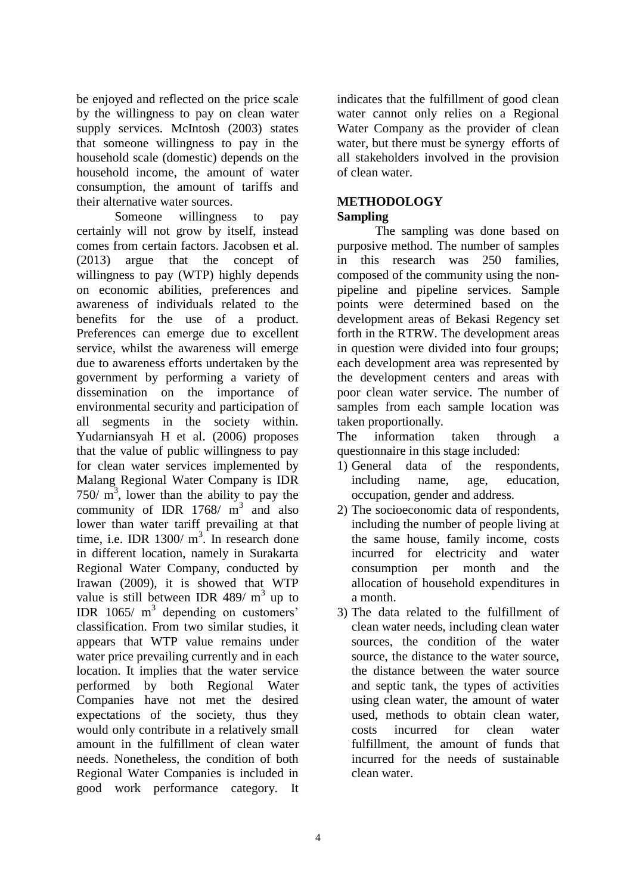be enjoyed and reflected on the price scale by the willingness to pay on clean water supply services. McIntosh (2003) states that someone willingness to pay in the household scale (domestic) depends on the household income, the amount of water consumption, the amount of tariffs and their alternative water sources.

Someone willingness to pay certainly will not grow by itself, instead comes from certain factors. Jacobsen et al. (2013) argue that the concept of willingness to pay (WTP) highly depends on economic abilities, preferences and awareness of individuals related to the benefits for the use of a product. Preferences can emerge due to excellent service, whilst the awareness will emerge due to awareness efforts undertaken by the government by performing a variety of dissemination on the importance of environmental security and participation of all segments in the society within. Yudarniansyah H et al. (2006) proposes that the value of public willingness to pay for clean water services implemented by Malang Regional Water Company is IDR  $750/ m<sup>3</sup>$ , lower than the ability to pay the community of IDR  $1768/ m<sup>3</sup>$  and also lower than water tariff prevailing at that time, i.e. IDR  $1300/m<sup>3</sup>$ . In research done in different location, namely in Surakarta Regional Water Company, conducted by Irawan (2009), it is showed that WTP value is still between IDR 489/ $m<sup>3</sup>$  up to IDR  $1065/$  m<sup>3</sup> depending on customers' classification. From two similar studies, it appears that WTP value remains under water price prevailing currently and in each location. It implies that the water service performed by both Regional Water Companies have not met the desired expectations of the society, thus they would only contribute in a relatively small amount in the fulfillment of clean water needs. Nonetheless, the condition of both Regional Water Companies is included in good work performance category. It indicates that the fulfillment of good clean water cannot only relies on a Regional Water Company as the provider of clean water, but there must be synergy efforts of all stakeholders involved in the provision of clean water.

#### **METHODOLOGY Sampling**

The sampling was done based on purposive method. The number of samples in this research was 250 families, composed of the community using the nonpipeline and pipeline services. Sample points were determined based on the development areas of Bekasi Regency set forth in the RTRW. The development areas in question were divided into four groups; each development area was represented by the development centers and areas with poor clean water service. The number of samples from each sample location was taken proportionally.

The information taken through a questionnaire in this stage included:

- 1) General data of the respondents, including name, age, education, occupation, gender and address.
- 2) The socioeconomic data of respondents, including the number of people living at the same house, family income, costs incurred for electricity and water consumption per month and the allocation of household expenditures in a month.
- 3) The data related to the fulfillment of clean water needs, including clean water sources, the condition of the water source, the distance to the water source, the distance between the water source and septic tank, the types of activities using clean water, the amount of water used, methods to obtain clean water, costs incurred for clean water fulfillment, the amount of funds that incurred for the needs of sustainable clean water.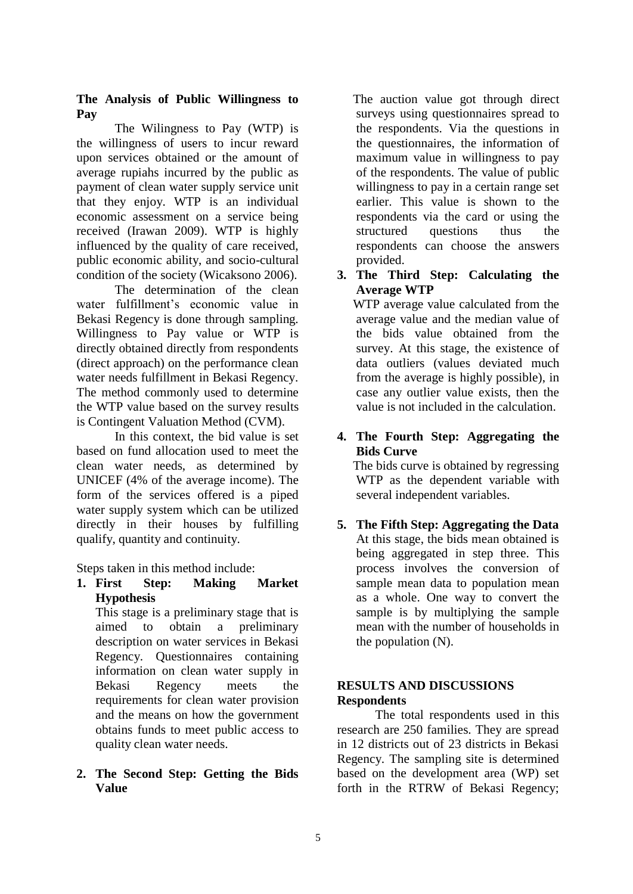### **The Analysis of Public Willingness to Pay**

The Wilingness to Pay (WTP) is the willingness of users to incur reward upon services obtained or the amount of average rupiahs incurred by the public as payment of clean water supply service unit that they enjoy. WTP is an individual economic assessment on a service being received (Irawan 2009). WTP is highly influenced by the quality of care received, public economic ability, and socio-cultural condition of the society (Wicaksono 2006).

The determination of the clean water fulfillment's economic value in Bekasi Regency is done through sampling. Willingness to Pay value or WTP is directly obtained directly from respondents (direct approach) on the performance clean water needs fulfillment in Bekasi Regency. The method commonly used to determine the WTP value based on the survey results is Contingent Valuation Method (CVM).

In this context, the bid value is set based on fund allocation used to meet the clean water needs, as determined by UNICEF (4% of the average income). The form of the services offered is a piped water supply system which can be utilized directly in their houses by fulfilling qualify, quantity and continuity.

Steps taken in this method include:

**1. First Step: Making Market Hypothesis**

 This stage is a preliminary stage that is aimed to obtain a preliminary description on water services in Bekasi Regency. Questionnaires containing information on clean water supply in Bekasi Regency meets the requirements for clean water provision and the means on how the government obtains funds to meet public access to quality clean water needs.

# **2. The Second Step: Getting the Bids Value**

 The auction value got through direct surveys using questionnaires spread to the respondents. Via the questions in the questionnaires, the information of maximum value in willingness to pay of the respondents. The value of public willingness to pay in a certain range set earlier. This value is shown to the respondents via the card or using the structured questions thus the respondents can choose the answers provided.

**3. The Third Step: Calculating the Average WTP**

 WTP average value calculated from the average value and the median value of the bids value obtained from the survey. At this stage, the existence of data outliers (values deviated much from the average is highly possible), in case any outlier value exists, then the value is not included in the calculation.

**4. The Fourth Step: Aggregating the Bids Curve**

 The bids curve is obtained by regressing WTP as the dependent variable with several independent variables.

**5. The Fifth Step: Aggregating the Data** At this stage, the bids mean obtained is being aggregated in step three. This process involves the conversion of sample mean data to population mean as a whole. One way to convert the sample is by multiplying the sample mean with the number of households in the population (N).

### **RESULTS AND DISCUSSIONS Respondents**

The total respondents used in this research are 250 families. They are spread in 12 districts out of 23 districts in Bekasi Regency. The sampling site is determined based on the development area (WP) set forth in the RTRW of Bekasi Regency;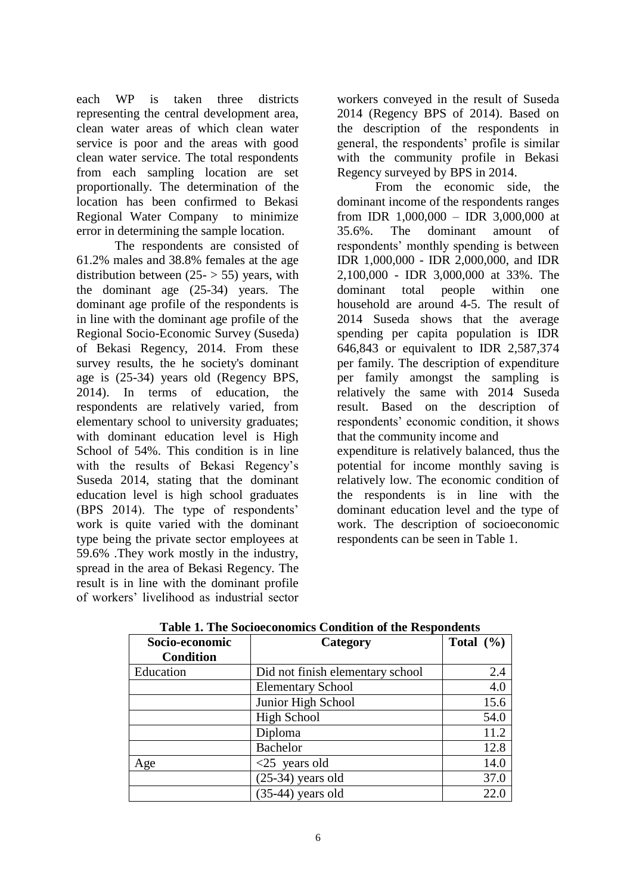each WP is taken three districts representing the central development area, clean water areas of which clean water service is poor and the areas with good clean water service. The total respondents from each sampling location are set proportionally. The determination of the location has been confirmed to Bekasi Regional Water Company to minimize error in determining the sample location.

The respondents are consisted of 61.2% males and 38.8% females at the age distribution between  $(25 - 55)$  years, with the dominant age (25-34) years. The dominant age profile of the respondents is in line with the dominant age profile of the Regional Socio-Economic Survey (Suseda) of Bekasi Regency, 2014. From these survey results, the he society's dominant age is (25-34) years old (Regency BPS, 2014). In terms of education, the respondents are relatively varied, from elementary school to university graduates; with dominant education level is High School of 54%. This condition is in line with the results of Bekasi Regency's Suseda 2014, stating that the dominant education level is high school graduates (BPS 2014). The type of respondents' work is quite varied with the dominant type being the private sector employees at 59.6% .They work mostly in the industry, spread in the area of Bekasi Regency. The result is in line with the dominant profile of workers' livelihood as industrial sector

workers conveyed in the result of Suseda 2014 (Regency BPS of 2014). Based on the description of the respondents in general, the respondents' profile is similar with the community profile in Bekasi Regency surveyed by BPS in 2014.

From the economic side, the dominant income of the respondents ranges from IDR 1,000,000 – IDR 3,000,000 at 35.6%. The dominant amount of respondents' monthly spending is between IDR 1,000,000 - IDR 2,000,000, and IDR 2,100,000 - IDR 3,000,000 at 33%. The dominant total people within one household are around 4-5. The result of 2014 Suseda shows that the average spending per capita population is IDR 646,843 or equivalent to IDR 2,587,374 per family. The description of expenditure per family amongst the sampling is relatively the same with 2014 Suseda result. Based on the description of respondents' economic condition, it shows that the community income and expenditure is relatively balanced, thus the potential for income monthly saving is relatively low. The economic condition of the respondents is in line with the dominant education level and the type of work. The description of socioeconomic

respondents can be seen in Table 1.

| Socio-economic   | Category                         | Total $(\% )$ |
|------------------|----------------------------------|---------------|
| <b>Condition</b> |                                  |               |
| Education        | Did not finish elementary school | 2.4           |
|                  | <b>Elementary School</b>         | 4.0           |
|                  | Junior High School               | 15.6          |
|                  | High School                      | 54.0          |
|                  | Diploma                          | 11.2          |
|                  | Bachelor                         | 12.8          |
| Age              | $<$ 25 years old                 | 14.0          |
|                  | $(25-34)$ years old              | 37.0          |
|                  | $(35-44)$ years old              | 22.0          |

**Table 1. The Socioeconomics Condition of the Respondents**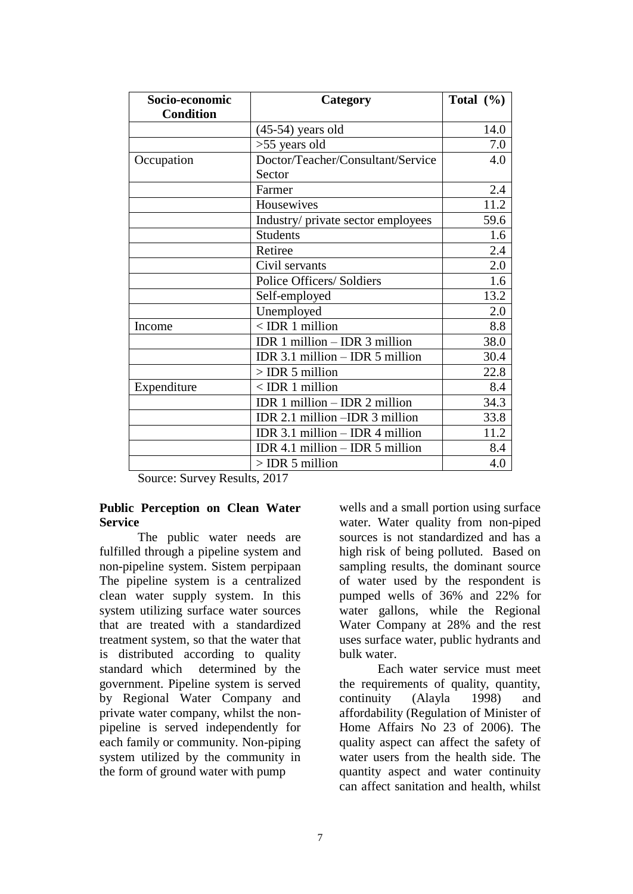| Socio-economic   | Category                            | Total $(\% )$ |
|------------------|-------------------------------------|---------------|
| <b>Condition</b> |                                     |               |
|                  | $(45-54)$ years old                 | 14.0          |
|                  | $>55$ years old                     | 7.0           |
| Occupation       | Doctor/Teacher/Consultant/Service   | 4.0           |
|                  | Sector                              |               |
|                  | Farmer                              | 2.4           |
|                  | Housewives                          | 11.2          |
|                  | Industry/ private sector employees  | 59.6          |
|                  | <b>Students</b>                     | 1.6           |
|                  | Retiree                             | 2.4           |
|                  | Civil servants                      | 2.0           |
|                  | Police Officers/ Soldiers           | 1.6           |
|                  | Self-employed                       | 13.2          |
|                  | Unemployed                          | 2.0           |
| Income           | $<$ IDR 1 million                   | 8.8           |
|                  | IDR $1$ million $-$ IDR $3$ million | 38.0          |
|                  | IDR 3.1 million - IDR 5 million     | 30.4          |
|                  | $>$ IDR 5 million                   | 22.8          |
| Expenditure      | $<$ IDR 1 million                   | 8.4           |
|                  | IDR 1 million - IDR 2 million       | 34.3          |
|                  | IDR 2.1 million - IDR 3 million     | 33.8          |
|                  | IDR $3.1$ million $-$ IDR 4 million | 11.2          |
|                  | IDR 4.1 million $-$ IDR 5 million   | 8.4           |
|                  | $>$ IDR 5 million                   | 4.0           |

Source: Survey Results, 2017

#### **Public Perception on Clean Water Service**

The public water needs are fulfilled through a pipeline system and non-pipeline system. Sistem perpipaan The pipeline system is a centralized clean water supply system. In this system utilizing surface water sources that are treated with a standardized treatment system, so that the water that is distributed according to quality standard which determined by the government. Pipeline system is served by Regional Water Company and private water company, whilst the nonpipeline is served independently for each family or community. Non-piping system utilized by the community in the form of ground water with pump

wells and a small portion using surface water. Water quality from non-piped sources is not standardized and has a high risk of being polluted. Based on sampling results, the dominant source of water used by the respondent is pumped wells of 36% and 22% for water gallons, while the Regional Water Company at 28% and the rest uses surface water, public hydrants and bulk water.

Each water service must meet the requirements of quality, quantity, continuity (Alayla 1998) and affordability (Regulation of Minister of Home Affairs No 23 of 2006). The quality aspect can affect the safety of water users from the health side. The quantity aspect and water continuity can affect sanitation and health, whilst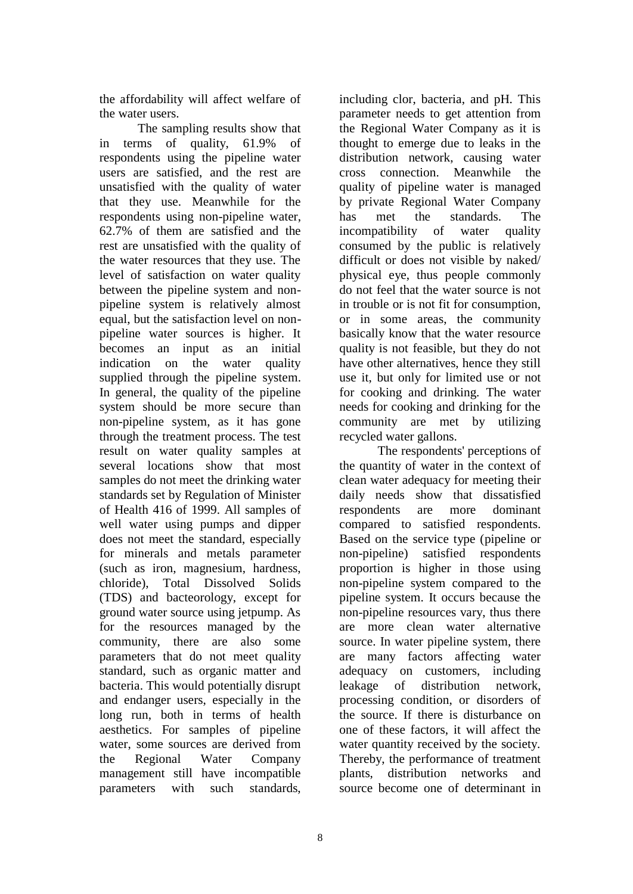the affordability will affect welfare of the water users.

The sampling results show that in terms of quality, 61.9% of respondents using the pipeline water users are satisfied, and the rest are unsatisfied with the quality of water that they use. Meanwhile for the respondents using non-pipeline water, 62.7% of them are satisfied and the rest are unsatisfied with the quality of the water resources that they use. The level of satisfaction on water quality between the pipeline system and nonpipeline system is relatively almost equal, but the satisfaction level on nonpipeline water sources is higher. It becomes an input as an initial indication on the water quality supplied through the pipeline system. In general, the quality of the pipeline system should be more secure than non-pipeline system, as it has gone through the treatment process. The test result on water quality samples at several locations show that most samples do not meet the drinking water standards set by Regulation of Minister of Health 416 of 1999. All samples of well water using pumps and dipper does not meet the standard, especially for minerals and metals parameter (such as iron, magnesium, hardness, chloride), Total Dissolved Solids (TDS) and bacteorology, except for ground water source using jetpump. As for the resources managed by the community, there are also some parameters that do not meet quality standard, such as organic matter and bacteria. This would potentially disrupt and endanger users, especially in the long run, both in terms of health aesthetics. For samples of pipeline water, some sources are derived from the Regional Water Company management still have incompatible parameters with such standards,

including clor, bacteria, and pH. This parameter needs to get attention from the Regional Water Company as it is thought to emerge due to leaks in the distribution network, causing water cross connection. Meanwhile the quality of pipeline water is managed by private Regional Water Company has met the standards. The incompatibility of water quality consumed by the public is relatively difficult or does not visible by naked/ physical eye, thus people commonly do not feel that the water source is not in trouble or is not fit for consumption, or in some areas, the community basically know that the water resource quality is not feasible, but they do not have other alternatives, hence they still use it, but only for limited use or not for cooking and drinking. The water needs for cooking and drinking for the community are met by utilizing recycled water gallons.

The respondents' perceptions of the quantity of water in the context of clean water adequacy for meeting their daily needs show that dissatisfied respondents are more dominant compared to satisfied respondents. Based on the service type (pipeline or non-pipeline) satisfied respondents proportion is higher in those using non-pipeline system compared to the pipeline system. It occurs because the non-pipeline resources vary, thus there are more clean water alternative source. In water pipeline system, there are many factors affecting water adequacy on customers, including leakage of distribution network, processing condition, or disorders of the source. If there is disturbance on one of these factors, it will affect the water quantity received by the society. Thereby, the performance of treatment plants, distribution networks and source become one of determinant in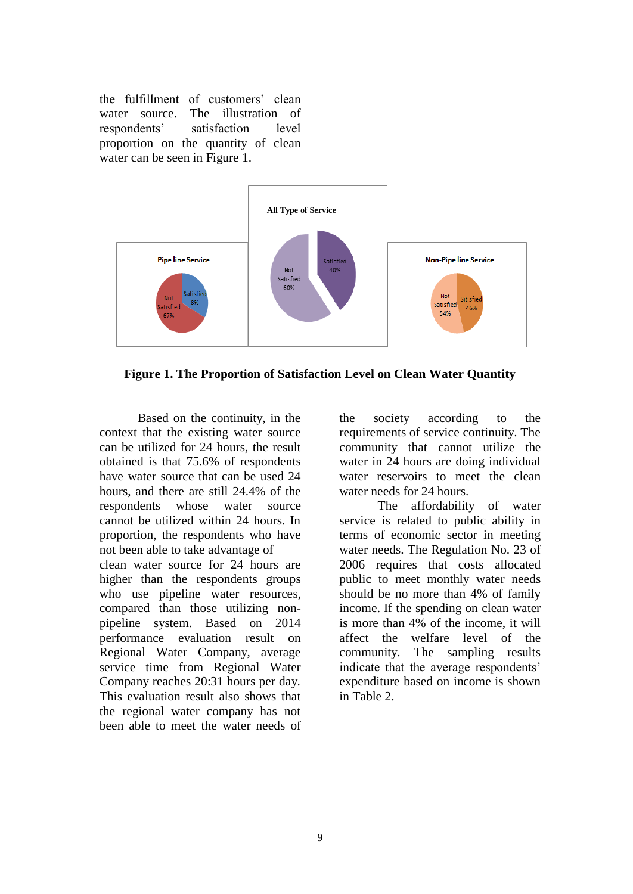the fulfillment of customers' clean water source. The illustration of respondents' satisfaction level proportion on the quantity of clean water can be seen in Figure 1.



**Figure 1. The Proportion of Satisfaction Level on Clean Water Quantity** 

Based on the continuity, in the context that the existing water source can be utilized for 24 hours, the result obtained is that 75.6% of respondents have water source that can be used 24 hours, and there are still 24.4% of the respondents whose water source cannot be utilized within 24 hours. In proportion, the respondents who have not been able to take advantage of clean water source for 24 hours are higher than the respondents groups who use pipeline water resources, compared than those utilizing nonpipeline system. Based on 2014 performance evaluation result on Regional Water Company, average service time from Regional Water Company reaches 20:31 hours per day. This evaluation result also shows that the regional water company has not been able to meet the water needs of the society according to the requirements of service continuity. The community that cannot utilize the water in 24 hours are doing individual water reservoirs to meet the clean water needs for 24 hours.

The affordability of water service is related to public ability in terms of economic sector in meeting water needs. The Regulation No. 23 of 2006 requires that costs allocated public to meet monthly water needs should be no more than 4% of family income. If the spending on clean water is more than 4% of the income, it will affect the welfare level of the community. The sampling results indicate that the average respondents' expenditure based on income is shown in Table 2.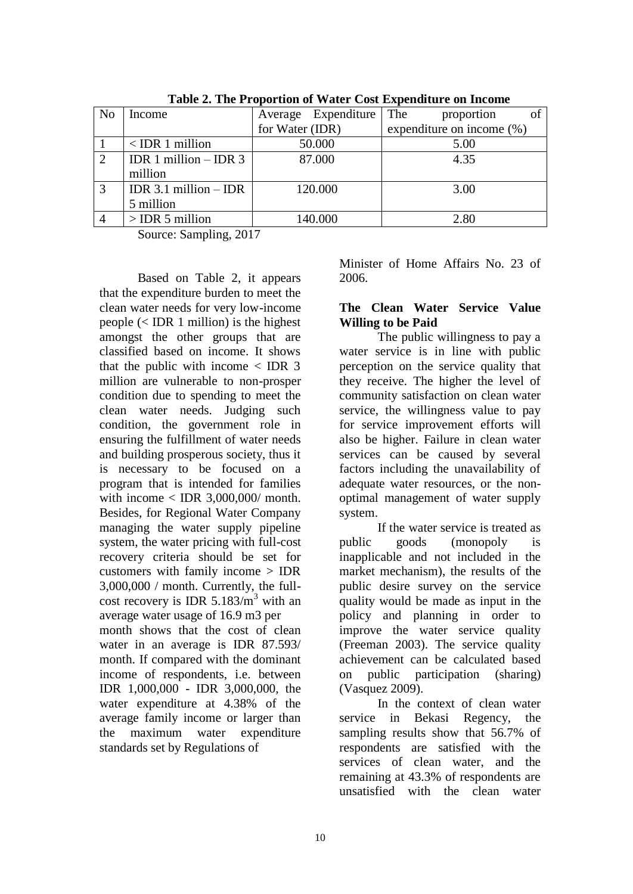| Tuble 20 The Troportion of Water Cost Expenditure on Income |                         |                              |  |  |  |  |  |  |
|-------------------------------------------------------------|-------------------------|------------------------------|--|--|--|--|--|--|
| Income                                                      | Average Expenditure The | of<br>proportion             |  |  |  |  |  |  |
|                                                             | for Water (IDR)         | expenditure on income $(\%)$ |  |  |  |  |  |  |
| $<$ IDR 1 million                                           | 50.000                  | 5.00                         |  |  |  |  |  |  |
| IDR 1 million $-$ IDR 3                                     | 87.000                  | 4.35                         |  |  |  |  |  |  |
| million                                                     |                         |                              |  |  |  |  |  |  |
| IDR $3.1$ million $-$ IDR                                   | 120.000                 | 3.00                         |  |  |  |  |  |  |
| 5 million                                                   |                         |                              |  |  |  |  |  |  |
| $>$ IDR 5 million                                           | 140.000                 | 2.80                         |  |  |  |  |  |  |
|                                                             |                         |                              |  |  |  |  |  |  |

**Table 2. The Proportion of Water Cost Expenditure on Income** 

Source: Sampling, 2017

Based on Table 2, it appears that the expenditure burden to meet the clean water needs for very low-income people (< IDR 1 million) is the highest amongst the other groups that are classified based on income. It shows that the public with income  $\langle$  IDR 3 million are vulnerable to non-prosper condition due to spending to meet the clean water needs. Judging such condition, the government role in ensuring the fulfillment of water needs and building prosperous society, thus it is necessary to be focused on a program that is intended for families with income  $\langle$  IDR 3,000,000/ month. Besides, for Regional Water Company managing the water supply pipeline system, the water pricing with full-cost recovery criteria should be set for customers with family income > IDR 3,000,000 / month. Currently, the fullcost recovery is IDR  $5.183/m<sup>3</sup>$  with an average water usage of 16.9 m3 per month shows that the cost of clean water in an average is IDR 87.593/ month. If compared with the dominant income of respondents, i.e. between IDR 1,000,000 - IDR 3,000,000, the water expenditure at 4.38% of the average family income or larger than the maximum water expenditure standards set by Regulations of

Minister of Home Affairs No. 23 of 2006.

#### **The Clean Water Service Value Willing to be Paid**

The public willingness to pay a water service is in line with public perception on the service quality that they receive. The higher the level of community satisfaction on clean water service, the willingness value to pay for service improvement efforts will also be higher. Failure in clean water services can be caused by several factors including the unavailability of adequate water resources, or the nonoptimal management of water supply system.

If the water service is treated as public goods (monopoly is inapplicable and not included in the market mechanism), the results of the public desire survey on the service quality would be made as input in the policy and planning in order to improve the water service quality (Freeman 2003). The service quality achievement can be calculated based on public participation (sharing) (Vasquez 2009).

In the context of clean water service in Bekasi Regency, the sampling results show that 56.7% of respondents are satisfied with the services of clean water, and the remaining at 43.3% of respondents are unsatisfied with the clean water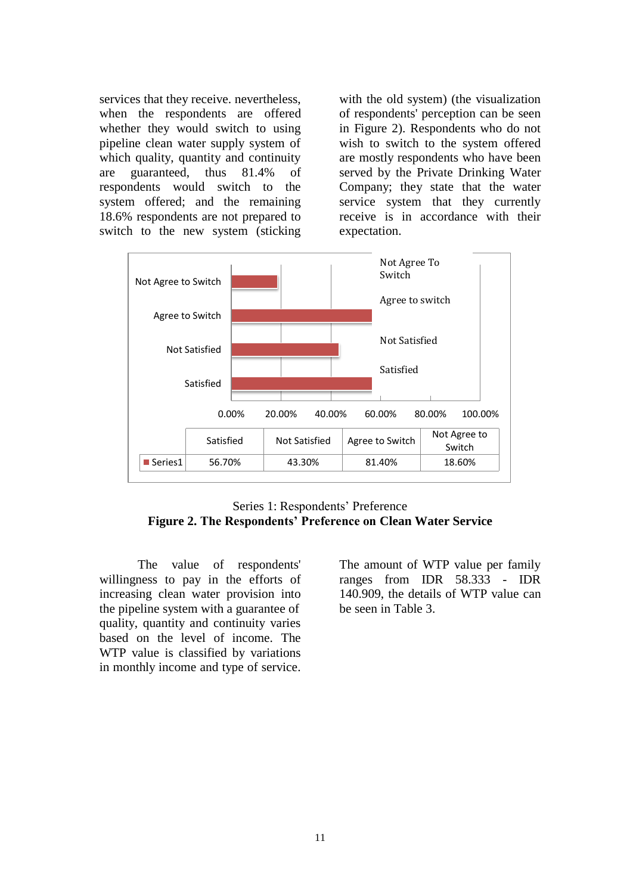services that they receive. nevertheless, when the respondents are offered whether they would switch to using pipeline clean water supply system of which quality, quantity and continuity are guaranteed, thus 81.4% of respondents would switch to the system offered; and the remaining 18.6% respondents are not prepared to switch to the new system (sticking with the old system) (the visualization of respondents' perception can be seen in Figure 2). Respondents who do not wish to switch to the system offered are mostly respondents who have been served by the Private Drinking Water Company; they state that the water service system that they currently receive is in accordance with their expectation.



Series 1: Respondents' Preference **Figure 2. The Respondents' Preference on Clean Water Service**

The value of respondents' willingness to pay in the efforts of increasing clean water provision into the pipeline system with a guarantee of quality, quantity and continuity varies based on the level of income. The WTP value is classified by variations in monthly income and type of service. The amount of WTP value per family ranges from IDR 58.333 - IDR 140.909, the details of WTP value can be seen in Table 3.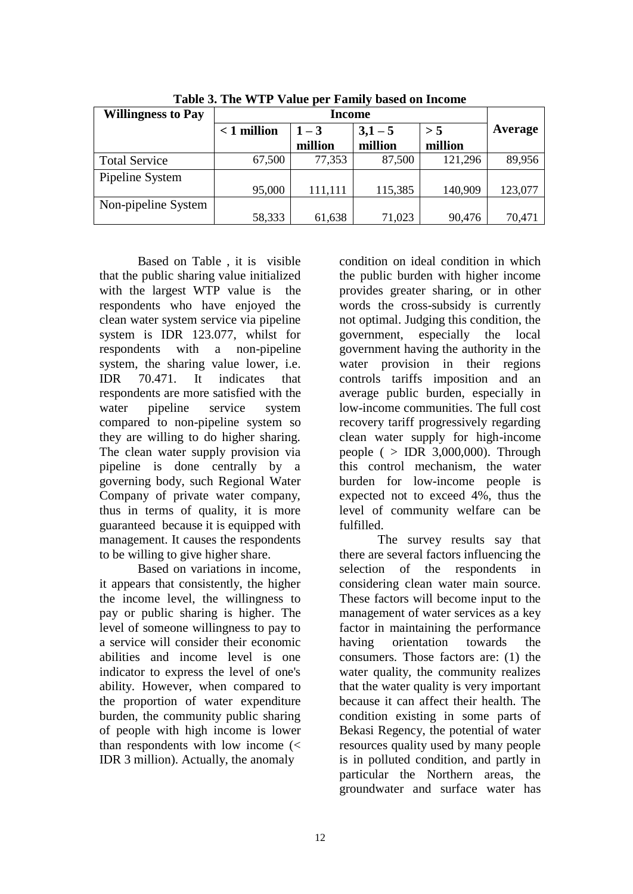| <b>Willingness to Pay</b> |               |         |         |         |         |
|---------------------------|---------------|---------|---------|---------|---------|
|                           | $< 1$ million | $1 - 3$ | $3,1-5$ | > 5     | Average |
|                           |               | million | million | million |         |
| <b>Total Service</b>      | 67,500        | 77,353  | 87,500  | 121,296 | 89,956  |
| Pipeline System           |               |         |         |         |         |
|                           | 95,000        | 111,111 | 115,385 | 140,909 | 123,077 |
| Non-pipeline System       |               |         |         |         |         |
|                           | 58,333        | 61,638  | 71,023  | 90,476  | 70,471  |

**Table 3. The WTP Value per Family based on Income**

Based on Table , it is visible that the public sharing value initialized with the largest WTP value is the respondents who have enjoyed the clean water system service via pipeline system is IDR 123.077, whilst for respondents with a non-pipeline system, the sharing value lower, i.e. IDR 70.471. It indicates that respondents are more satisfied with the water pipeline service system compared to non-pipeline system so they are willing to do higher sharing. The clean water supply provision via pipeline is done centrally by a governing body, such Regional Water Company of private water company, thus in terms of quality, it is more guaranteed because it is equipped with management. It causes the respondents to be willing to give higher share.

Based on variations in income, it appears that consistently, the higher the income level, the willingness to pay or public sharing is higher. The level of someone willingness to pay to a service will consider their economic abilities and income level is one indicator to express the level of one's ability. However, when compared to the proportion of water expenditure burden, the community public sharing of people with high income is lower than respondents with low income  $\left\langle \right\rangle$ IDR 3 million). Actually, the anomaly

condition on ideal condition in which the public burden with higher income provides greater sharing, or in other words the cross-subsidy is currently not optimal. Judging this condition, the government, especially the local government having the authority in the water provision in their regions controls tariffs imposition and an average public burden, especially in low-income communities. The full cost recovery tariff progressively regarding clean water supply for high-income people ( $>$  IDR 3,000,000). Through this control mechanism, the water burden for low-income people is expected not to exceed 4%, thus the level of community welfare can be fulfilled.

The survey results say that there are several factors influencing the selection of the respondents in considering clean water main source. These factors will become input to the management of water services as a key factor in maintaining the performance having orientation towards the consumers. Those factors are: (1) the water quality, the community realizes that the water quality is very important because it can affect their health. The condition existing in some parts of Bekasi Regency, the potential of water resources quality used by many people is in polluted condition, and partly in particular the Northern areas, the groundwater and surface water has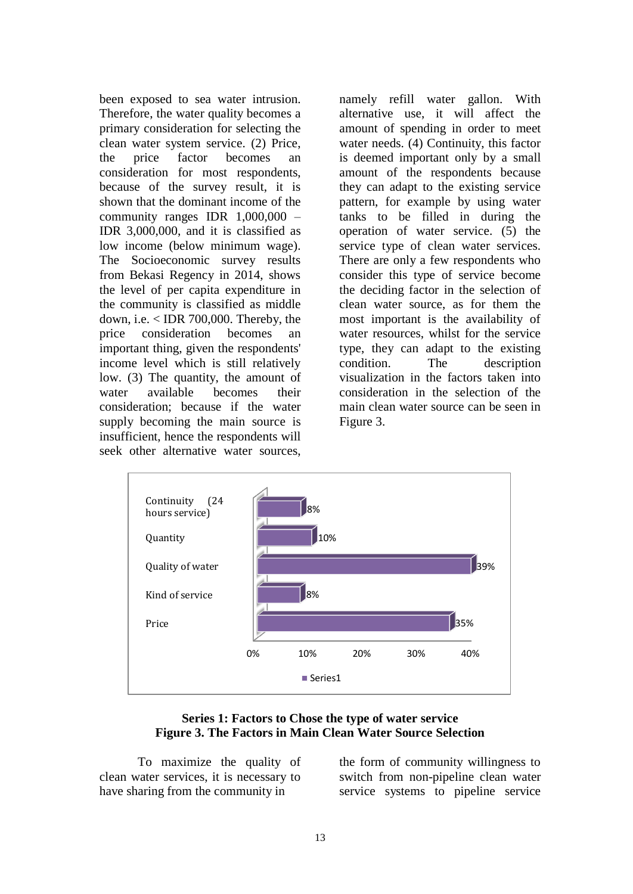been exposed to sea water intrusion. Therefore, the water quality becomes a primary consideration for selecting the clean water system service. (2) Price, the price factor becomes an consideration for most respondents, because of the survey result, it is shown that the dominant income of the community ranges IDR 1,000,000 – IDR 3,000,000, and it is classified as low income (below minimum wage). The Socioeconomic survey results from Bekasi Regency in 2014, shows the level of per capita expenditure in the community is classified as middle down, i.e. < IDR 700,000. Thereby, the price consideration becomes an important thing, given the respondents' income level which is still relatively low. (3) The quantity, the amount of water available becomes their consideration; because if the water supply becoming the main source is insufficient, hence the respondents will seek other alternative water sources,

namely refill water gallon. With alternative use, it will affect the amount of spending in order to meet water needs. (4) Continuity, this factor is deemed important only by a small amount of the respondents because they can adapt to the existing service pattern, for example by using water tanks to be filled in during the operation of water service. (5) the service type of clean water services. There are only a few respondents who consider this type of service become the deciding factor in the selection of clean water source, as for them the most important is the availability of water resources, whilst for the service type, they can adapt to the existing condition. The description visualization in the factors taken into consideration in the selection of the main clean water source can be seen in Figure 3.



#### **Series 1: Factors to Chose the type of water service Figure 3. The Factors in Main Clean Water Source Selection**

To maximize the quality of clean water services, it is necessary to have sharing from the community in

the form of community willingness to switch from non-pipeline clean water service systems to pipeline service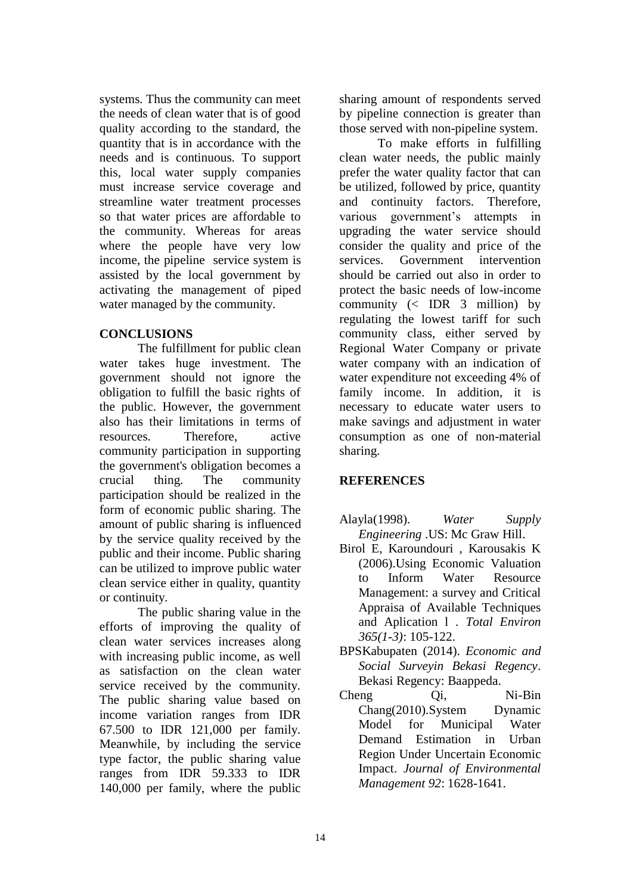systems. Thus the community can meet the needs of clean water that is of good quality according to the standard, the quantity that is in accordance with the needs and is continuous. To support this, local water supply companies must increase service coverage and streamline water treatment processes so that water prices are affordable to the community. Whereas for areas where the people have very low income, the pipeline service system is assisted by the local government by activating the management of piped water managed by the community.

# **CONCLUSIONS**

The fulfillment for public clean water takes huge investment. The government should not ignore the obligation to fulfill the basic rights of the public. However, the government also has their limitations in terms of resources. Therefore, active community participation in supporting the government's obligation becomes a crucial thing. The community participation should be realized in the form of economic public sharing. The amount of public sharing is influenced by the service quality received by the public and their income. Public sharing can be utilized to improve public water clean service either in quality, quantity or continuity.

The public sharing value in the efforts of improving the quality of clean water services increases along with increasing public income, as well as satisfaction on the clean water service received by the community. The public sharing value based on income variation ranges from IDR 67.500 to IDR 121,000 per family. Meanwhile, by including the service type factor, the public sharing value ranges from IDR 59.333 to IDR 140,000 per family, where the public sharing amount of respondents served by pipeline connection is greater than those served with non-pipeline system.

To make efforts in fulfilling clean water needs, the public mainly prefer the water quality factor that can be utilized, followed by price, quantity and continuity factors. Therefore, various government's attempts in upgrading the water service should consider the quality and price of the services. Government intervention should be carried out also in order to protect the basic needs of low-income community  $\left(\times$  IDR 3 million) by regulating the lowest tariff for such community class, either served by Regional Water Company or private water company with an indication of water expenditure not exceeding 4% of family income. In addition, it is necessary to educate water users to make savings and adjustment in water consumption as one of non-material sharing.

### **REFERENCES**

- Alayla(1998). *Water Supply Engineering* .US: Mc Graw Hill.
- Birol E, Karoundouri , Karousakis K (2006).Using Economic Valuation to Inform Water Resource Management: a survey and Critical Appraisa of Available Techniques and Aplication l . *Total Environ 365(1-3)*: 105-122.
- BPSKabupaten (2014). *Economic and Social Surveyin Bekasi Regency.* Bekasi Regency: Baappeda.
- Cheng Qi, Ni-Bin Chang(2010).System Dynamic Model for Municipal Water Demand Estimation in Urban Region Under Uncertain Economic Impact. *Journal of Environmental Management 92*: 1628-1641.